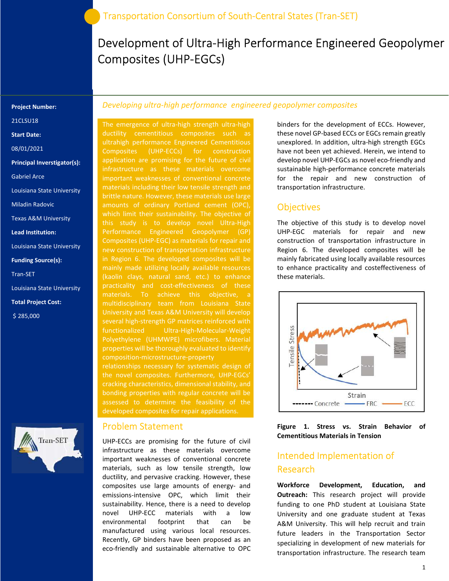# Development of Ultra-High Performance Engineered Geopolymer Composites (UHP-EGCs)

#### Project Number:

21CLSU18

Start Date:

08/01/2021

Principal Inverstigator(s):

Gabriel Arce

Louisiana State University

Miladin Radovic

Texas A&M University

Lead Institution:

Louisiana State University

Funding Source(s):

Tran-SET

Louisiana State University

Total Project Cost:

\$ 285,000



### Developing ultra-high performance engineered geopolymer composites

The emergence of ultra-high strength ultra-high ductility cementitious composites such as ultrahigh performance Engineered Cementitious Composites (UHP-ECCs) for construction application are promising for the future of civil important weaknesses of conventional concrete materials including their low tensile strength and brittle nature. However, these materials use large amounts of ordinary Portland cement (OPC), which limit their sustainability. The objective of this study is to develop novel Ultra-High Performance Engineered Geopolymer (GP) Composites (UHP-EGC) as materials for repair and new construction of transportation infrastructure in Region 6. The developed composites will be mainly made utilizing locally available resources (kaolin clays, natural sand, etc.) to enhance materials. To achieve this objective, a multidisciplinary team from Louisiana State University and Texas A&M University will develop several high-strength GP matrices reinforced with functionalized Ultra-High-Molecular-Weight properties will be thoroughly evaluated to identify composition-microstructure-property

relationships necessary for systematic design of cracking characteristics, dimensional stability, and bonding properties with regular concrete will be developed composites for repair applications.

#### Problem Statement

UHP-ECCs are promising for the future of civil infrastructure as these materials overcome important weaknesses of conventional concrete materials, such as low tensile strength, low ductility, and pervasive cracking. However, these composites use large amounts of energy- and emissions-intensive OPC, which limit their sustainability. Hence, there is a need to develop novel UHP-ECC materials with a low environmental footprint that can be manufactured using various local resources. Recently, GP binders have been proposed as an eco-friendly and sustainable alternative to OPC

binders for the development of ECCs. However, these novel GP-based ECCs or EGCs remain greatly unexplored. In addition, ultra-high strength EGCs have not been yet achieved. Herein, we intend to develop novel UHP-EGCs as novel eco-friendly and sustainable high-performance concrete materials for the repair and new construction of transportation infrastructure.

## **Objectives**

The objective of this study is to develop novel UHP-EGC materials for repair and new construction of transportation infrastructure in Region 6. The developed composites will be mainly fabricated using locally available resources to enhance practicality and costeffectiveness of these materials.



Figure 1. Stress vs. Strain Behavior of Cementitious Materials in Tension

# Intended Implementation of Research

Workforce Development, Education, and **Outreach:** This research project will provide funding to one PhD student at Louisiana State University and one graduate student at Texas A&M University. This will help recruit and train future leaders in the Transportation Sector specializing in development of new materials for transportation infrastructure. The research team